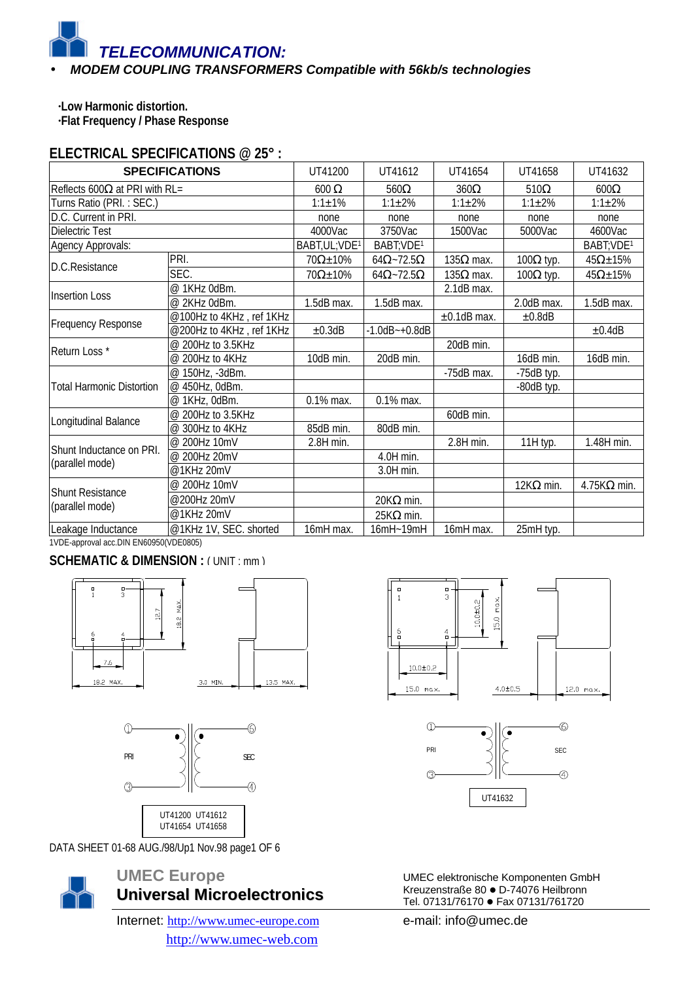#### • *MODEM COUPLING TRANSFORMERS Compatible with 56kb/s technologies*

**·Low Harmonic distortion. ·Flat Frequency / Phase Response**

## **ELECTRICAL SPECIFICATIONS @ 25° :**

| <b>SPECIFICATIONS</b>                       |                          | UT41200                    | UT41612                 | UT41654           | UT41658          | UT41632                |
|---------------------------------------------|--------------------------|----------------------------|-------------------------|-------------------|------------------|------------------------|
| Reflects 600 $\Omega$ at PRI with RL=       |                          | $600\ \Omega$              | $560\Omega$             | $360\Omega$       | $510\Omega$      | $600\Omega$            |
| Turns Ratio (PRI.: SEC.)                    |                          | $1:1 \pm 1\%$              | $1:1 \pm 2\%$           | $1:1 \pm 2\%$     | $1:1 \pm 2\%$    | $1:1 \pm 2\%$          |
| D.C. Current in PRI.                        |                          | none                       | none                    | none              | none             | none                   |
| Dielectric Test                             |                          | 4000Vac                    | 3750Vac                 | 1500Vac           | 5000Vac          | 4600Vac                |
| Agency Approvals:                           |                          | BABT, UL; VDE <sup>1</sup> | BABT; VDE <sup>1</sup>  |                   |                  | BABT; VDE <sup>1</sup> |
|                                             | PRI.                     | $70\Omega \pm 10\%$        | $64\Omega - 72.5\Omega$ | 135 $\Omega$ max. | $100Ω$ typ.      | $45\Omega \pm 15\%$    |
| D.C.Resistance                              | SEC.                     | $70\Omega \pm 10\%$        | $64\Omega - 72.5\Omega$ | 135 $\Omega$ max. | $100\Omega$ typ. | $45\Omega \pm 15\%$    |
|                                             | @ 1KHz 0dBm.             |                            |                         | 2.1dB max.        |                  |                        |
| <b>Insertion Loss</b>                       | @ 2KHz 0dBm.             | 1.5dB max.                 | 1.5dB max.              |                   | 2.0dB max.       | 1.5dB max.             |
| Frequency Response                          | @100Hz to 4KHz, ref 1KHz |                            |                         | $\pm 0.1$ dB max. | ±0.8dB           |                        |
|                                             | @200Hz to 4KHz, ref 1KHz | ±0.3dB                     | $-1.0dB - +0.8dB$       |                   |                  | ±0.4dB                 |
|                                             | @ 200Hz to 3.5KHz        |                            |                         | 20dB min.         |                  |                        |
| Return Loss*                                | @ 200Hz to 4KHz          | 10dB min.                  | 20dB min.               |                   | 16dB min.        | 16dB min.              |
|                                             | @ 150Hz, -3dBm.          |                            |                         | -75dB max.        | $-75dB$ typ.     |                        |
| <b>Total Harmonic Distortion</b>            | @ 450Hz, 0dBm.           |                            |                         |                   | -80dB typ.       |                        |
|                                             | @ 1KHz, 0dBm.            | 0.1% max.                  | 0.1% max.               |                   |                  |                        |
| Longitudinal Balance                        | @ 200Hz to 3.5KHz        |                            |                         | 60dB min.         |                  |                        |
|                                             | @ 300Hz to 4KHz          | 85dB min.                  | 80dB min.               |                   |                  |                        |
| Shunt Inductance on PRI.<br>(parallel mode) | @ 200Hz 10mV             | 2.8H min.                  |                         | 2.8H min.         | 11H typ.         | 1.48H min.             |
|                                             | @ 200Hz 20mV             |                            | 4.0H min.               |                   |                  |                        |
|                                             | @1KHz 20mV               |                            | 3.0H min.               |                   |                  |                        |
|                                             | @ 200Hz 10mV             |                            |                         |                   | $12K\Omega$ min. | $4.75K\Omega$ min.     |
| <b>Shunt Resistance</b>                     | @200Hz 20mV              |                            | $20K\Omega$ min.        |                   |                  |                        |
| (parallel mode)                             | @1KHz 20mV               |                            | $25K\Omega$ min.        |                   |                  |                        |
| Leakage Inductance                          | @1KHz 1V, SEC. shorted   | 16mH max.                  | $16mH-19mH$             | 16mH max.         | 25mH typ.        |                        |

1VDE-approval acc.DIN EN60950(VDE0805)

## **SCHEMATIC & DIMENSION : ( UNIT : mm )**





DATA SHEET 01-68 AUG./98/Up1 Nov.98 page1 OF 6



# **UMEC Europe Universal Microelectronics**

Internet: http://www.umec-europe.com http://www.umec-web.com





UMEC elektronische Komponenten GmbH Kreuzenstraße 80 · D-74076 Heilbronn Tel. 07131/76170 · Fax 07131/761720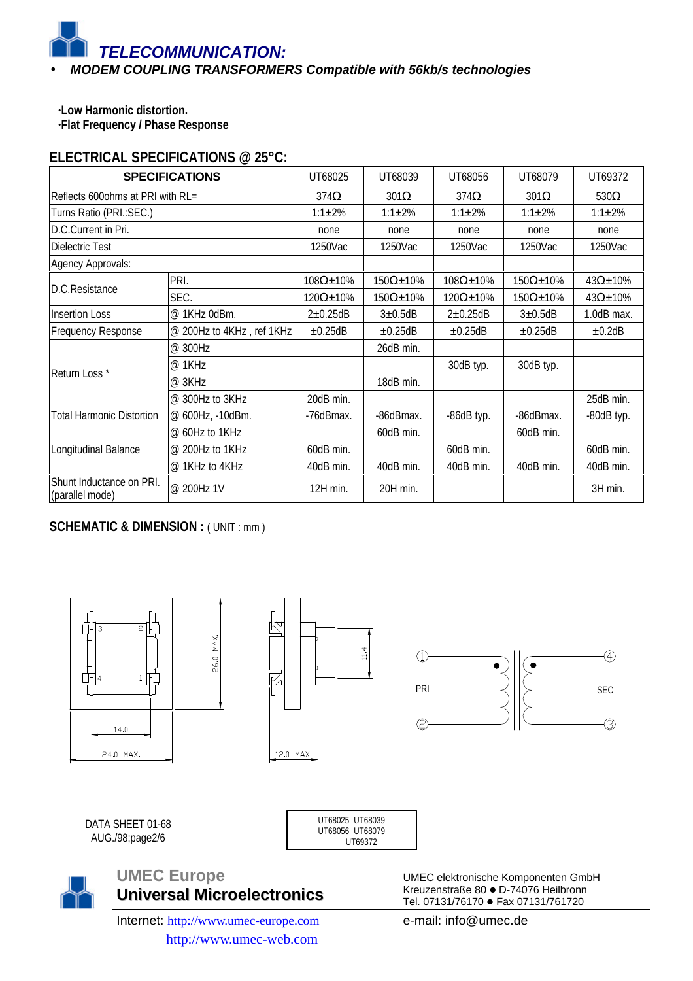#### • *MODEM COUPLING TRANSFORMERS Compatible with 56kb/s technologies*

**·Low Harmonic distortion. ·Flat Frequency / Phase Response**

## **ELECTRICAL SPECIFICATIONS @ 25°C:**

| <b>SPECIFICATIONS</b>                       |                           | UT68025              | UT68039              | UT68056              | UT68079              | UT69372             |
|---------------------------------------------|---------------------------|----------------------|----------------------|----------------------|----------------------|---------------------|
| Reflects 600ohms at PRI with RL=            |                           | $374\Omega$          | $301\Omega$          | $374\Omega$          | $301\Omega$          | $530\Omega$         |
| Turns Ratio (PRI.: SEC.)                    |                           | $1:1 \pm 2\%$        | $1:1 \pm 2\%$        | $1:1 \pm 2\%$        | $1:1 \pm 2\%$        | $1:1 \pm 2\%$       |
| D.C.Current in Pri.                         |                           | none                 | none                 | none                 | none                 | none                |
| Dielectric Test                             |                           | 1250Vac              | 1250Vac              | 1250Vac              | 1250Vac              | 1250Vac             |
| Agency Approvals:                           |                           |                      |                      |                      |                      |                     |
| D.C.Resistance                              | PRI.                      | $108\Omega \pm 10\%$ | $150\Omega \pm 10\%$ | $108\Omega \pm 10\%$ | $150\Omega \pm 10\%$ | $43\Omega \pm 10\%$ |
|                                             | SEC.                      | $120\Omega \pm 10\%$ | $150\Omega \pm 10\%$ | $120\Omega \pm 10\%$ | $150\Omega \pm 10\%$ | $43\Omega \pm 10\%$ |
| <b>Insertion Loss</b>                       | @ 1KHz 0dBm.              | $2\pm0.25dB$         | $3\pm0.5$ dB         | $2\pm0.25dB$         | $3\pm0.5$ dB         | 1.0dB max.          |
| <b>Frequency Response</b>                   | @ 200Hz to 4KHz, ref 1KHz | ±0.25dB              | ±0.25dB              | $\pm 0.25$ dB        | $\pm 0.25$ dB        | ±0.2dB              |
| Return Loss*                                | @ 300Hz                   |                      | 26dB min.            |                      |                      |                     |
|                                             | @ 1KHz                    |                      |                      | 30dB typ.            | 30dB typ.            |                     |
|                                             | @ 3KHz                    |                      | 18dB min.            |                      |                      |                     |
|                                             | @ 300Hz to 3KHz           | 20dB min.            |                      |                      |                      | 25dB min.           |
| Total Harmonic Distortion                   | @ 600Hz, -10dBm.          | -76dBmax.            | -86dBmax.            | -86dB typ.           | -86dBmax.            | -80dB typ.          |
| Longitudinal Balance                        | @ 60Hz to 1KHz            |                      | 60dB min.            |                      | 60dB min.            |                     |
|                                             | @ 200Hz to 1KHz           | 60dB min.            |                      | 60dB min.            |                      | 60dB min.           |
|                                             | $@$ 1 KHz to 4 KHz        | 40dB min.            | 40dB min.            | 40dB min.            | 40dB min.            | 40dB min.           |
| Shunt Inductance on PRI.<br>(parallel mode) | @ 200Hz 1V                | 12H min.             | 20H min.             |                      |                      | 3H min.             |

## **SCHEMATIC & DIMENSION : (UNIT : mm)**



AUG./98;page2/6





## **UMEC Europe Universal Microelectronics**

Internet: http://www.umec-europe.com http://www.umec-web.com

UMEC elektronische Komponenten GmbH Kreuzenstraße 80 · D-74076 Heilbronn Tel. 07131/76170 · Fax 07131/761720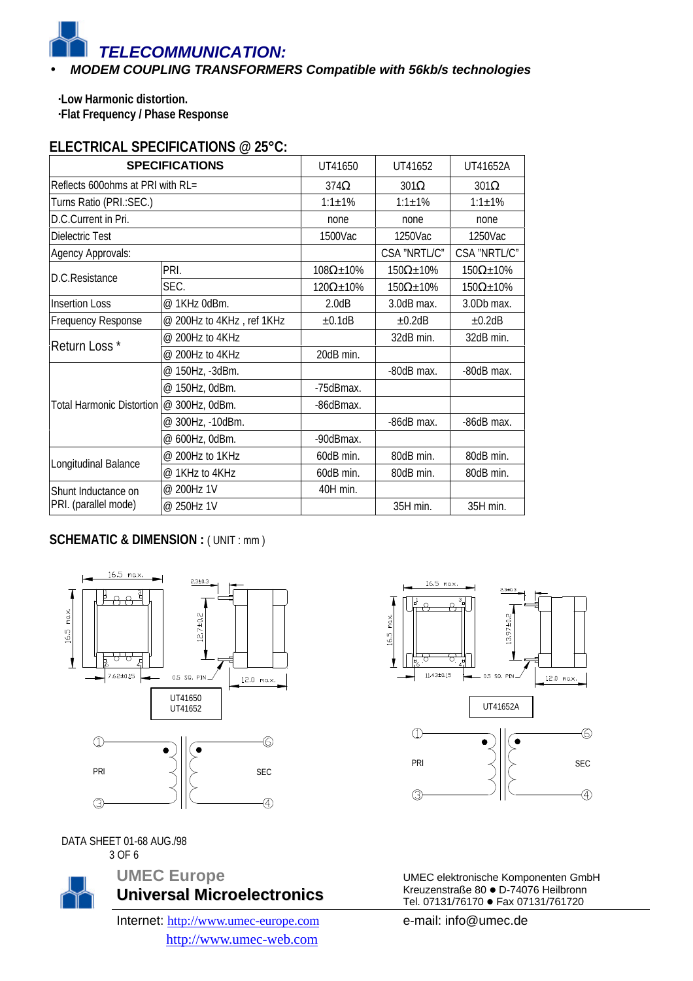#### • *MODEM COUPLING TRANSFORMERS Compatible with 56kb/s technologies*

**·Low Harmonic distortion.**

**·Flat Frequency / Phase Response**

## **ELECTRICAL SPECIFICATIONS @ 25°C:**

| <b>SPECIFICATIONS</b>            |                           | UT41650              | UT41652              | UT41652A             |
|----------------------------------|---------------------------|----------------------|----------------------|----------------------|
| Reflects 600ohms at PRI with RL= |                           | $374\Omega$          | $301\Omega$          | $301\Omega$          |
| Turns Ratio (PRI.: SEC.)         |                           | $1:1 \pm 1\%$        | $1:1 \pm 1\%$        | $1:1 \pm 1\%$        |
| D.C.Current in Pri.              |                           | none                 | none                 | none                 |
| Dielectric Test                  |                           | 1500Vac              | 1250Vac              | 1250Vac              |
| Agency Approvals:                |                           |                      | CSA "NRTL/C"         | CSA "NRTL/C"         |
| D.C.Resistance                   | PRI.                      | $108\Omega \pm 10\%$ | $150\Omega \pm 10\%$ | $150\Omega \pm 10\%$ |
|                                  | SEC.                      | $120\Omega \pm 10\%$ | $150\Omega \pm 10\%$ | $150\Omega \pm 10\%$ |
| <b>Insertion Loss</b>            | @ 1KHz 0dBm.              | 2.0dB                | 3.0dB max.           | 3.0Db max.           |
| Frequency Response               | @ 200Hz to 4KHz, ref 1KHz | ±0.1dB               | ±0.2dB               | ±0.2dB               |
| Return Loss*                     | @ 200Hz to 4KHz           |                      | 32dB min.            | 32dB min.            |
|                                  | @ 200Hz to 4KHz           | 20dB min.            |                      |                      |
|                                  | @ 150Hz, -3dBm.           |                      | -80dB max.           | -80dB max.           |
|                                  | @ 150Hz, 0dBm.            | -75dBmax.            |                      |                      |
| <b>Total Harmonic Distortion</b> | @ 300Hz, 0dBm.            | -86dBmax.            |                      |                      |
|                                  | @ 300Hz, -10dBm.          |                      | -86dB max.           | -86dB max.           |
|                                  | @ 600Hz, 0dBm.            | -90dBmax.            |                      |                      |
|                                  | @ 200Hz to 1KHz           | 60dB min.            | 80dB min.            | 80dB min.            |
| Longitudinal Balance             | @ 1KHz to 4KHz            | 60dB min.            | 80dB min.            | 80dB min.            |
| Shunt Inductance on              | @ 200Hz 1V                | 40H min.             |                      |                      |
| PRI. (parallel mode)             | @ 250Hz 1V                |                      | 35H min.             | 35H min.             |

#### **SCHEMATIC & DIMENSION : (UNIT : mm)**



DATA SHEET 01-68 AUG./98 3 OF 6



**UMEC Europe Universal Microelectronics**

Internet: http://www.umec-europe.com http://www.umec-web.com



UMEC elektronische Komponenten GmbH Kreuzenstraße 80 · D-74076 Heilbronn Tel. 07131/76170 · Fax 07131/761720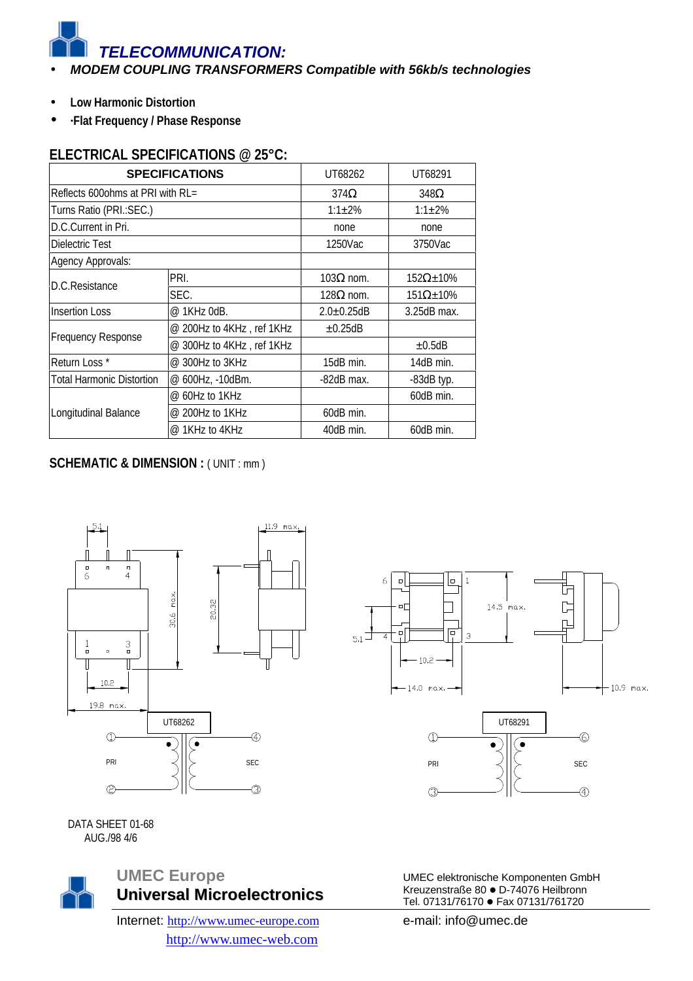- *MODEM COUPLING TRANSFORMERS Compatible with 56kb/s technologies*
- **Low Harmonic Distortion**
- **·Flat Frequency / Phase Response**

#### **ELECTRICAL SPECIFICATIONS @ 25°C:**

|                                      | <b>SPECIFICATIONS</b>       | UT68262           | UT68291              |  |
|--------------------------------------|-----------------------------|-------------------|----------------------|--|
| Reflects 600 ohms at PRI with $RL =$ |                             | $374\Omega$       | $348\Omega$          |  |
| Turns Ratio (PRI.:SEC.)              |                             | $1:1 \pm 2\%$     | $1:1+2%$             |  |
| D.C.Current in Pri.                  |                             | none              | none                 |  |
| Dielectric Test                      |                             | 1250Vac           | 3750Vac              |  |
| Agency Approvals:                    |                             |                   |                      |  |
|                                      | PRI.                        | $103Ω$ nom.       | $152\Omega \pm 10\%$ |  |
| D.C.Resistance                       | SEC.                        | $128Ω$ nom.       | $151\Omega \pm 10\%$ |  |
| <b>Insertion Loss</b>                | @ 1KHz 0dB.                 | $2.0 \pm 0.25$ dB | $3.25dB$ max.        |  |
|                                      | $@$ 200Hz to 4KHz, ref 1KHz | $\pm 0.25$ dB     |                      |  |
| <b>Frequency Response</b>            | @ 300Hz to 4KHz, ref 1KHz   |                   | $\pm 0.5$ dB         |  |
| Return Loss *                        | @ 300Hz to 3KHz             | $15dB$ min.       | 14dB min.            |  |
| Total Harmonic Distortion            | @ 600Hz, -10dBm.            | -82dB max.        | -83dB typ.           |  |
|                                      | $@$ 60Hz to 1KHz            |                   | 60dB min.            |  |
| Longitudinal Balance                 | @ 200Hz to 1KHz             | 60dB min.         |                      |  |
|                                      | @ 1KHz to 4KHz              | 40dB min.         | 60dB min.            |  |

#### **SCHEMATIC & DIMENSION : (UNIT : mm)**





DATA SHEET 01-68 AUG./98 4/6



Internet: http://www.umec-europe.com http://www.umec-web.com

UMEC elektronische Komponenten GmbH Kreuzenstraße 80 · D-74076 Heilbronn Tel. 07131/76170 · Fax 07131/761720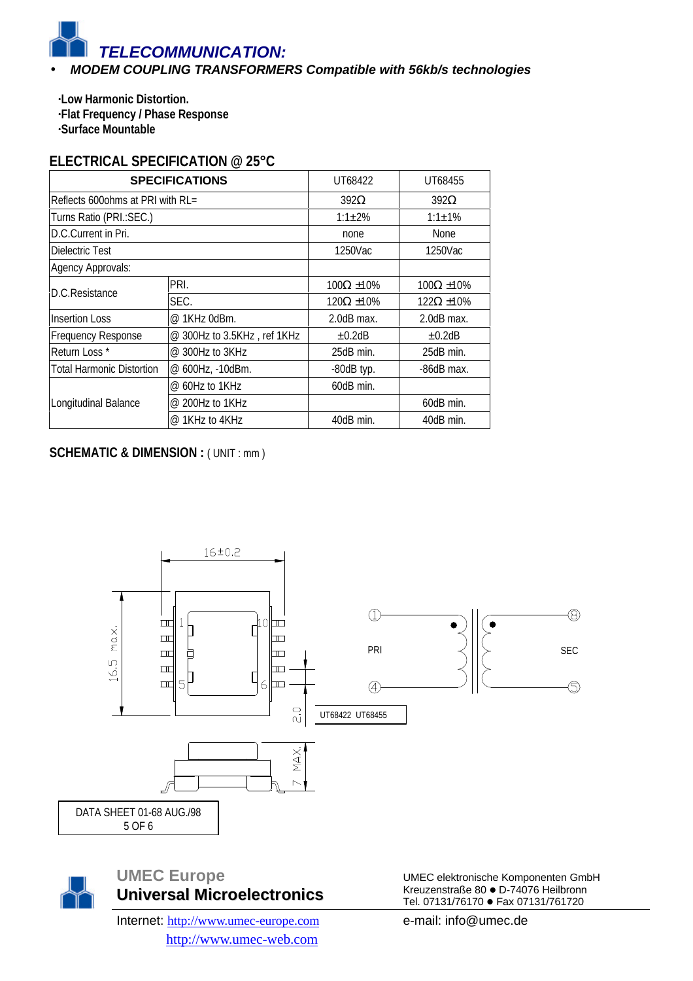#### • *MODEM COUPLING TRANSFORMERS Compatible with 56kb/s technologies*

**·Low Harmonic Distortion. ·Flat Frequency / Phase Response ·Surface Mountable**

## **ELECTRICAL SPECIFICATION @ 25°C**

|                                                      | <b>SPECIFICATIONS</b>       | UT68422              | UT68455              |  |
|------------------------------------------------------|-----------------------------|----------------------|----------------------|--|
| Reflects 600 ohms at PRI with $RL =$                 |                             | $392\Omega$          | $392\Omega$          |  |
| Turns Ratio (PRI.: SEC.)                             |                             | $1:1 \pm 2\%$        | $1:1+1%$             |  |
| D.C.Current in Pri.                                  |                             | none                 | <b>None</b>          |  |
| Dielectric Test                                      |                             | 1250Vac<br>1250Vac   |                      |  |
| Agency Approvals:                                    |                             |                      |                      |  |
| D.C.Resistance                                       | PRI.                        | $100\Omega \pm 10\%$ | $100\Omega \pm 10\%$ |  |
|                                                      | SEC.                        | $120\Omega \pm 10\%$ | $122\Omega \pm 10\%$ |  |
| <b>Insertion Loss</b>                                | @ 1KHz 0dBm.                | $2.0dB$ max.         | $2.0dB$ max.         |  |
| <b>Frequency Response</b>                            | @ 300Hz to 3.5KHz, ref 1KHz | $\pm 0.2$ dB         | $\pm 0.2$ dB         |  |
| Return Loss*                                         | @ 300Hz to 3KHz             | 25dB min.            | 25dB min.            |  |
| <b>Total Harmonic Distortion</b><br>@ 600Hz, -10dBm. |                             | $-80dB$ typ.         | $-86dB$ max.         |  |
|                                                      | @ 60Hz to 1KHz              | 60dB min.            |                      |  |
| Longitudinal Balance                                 | @ 200Hz to 1KHz             |                      | 60dB min.            |  |
|                                                      | @ 1KHz to 4KHz              | 40dB min.            | 40dB min.            |  |

## **SCHEMATIC & DIMENSION : ( UNIT : mm )**





# **UMEC Europe Universal Microelectronics**

Internet: http://www.umec-europe.com http://www.umec-web.com

UMEC elektronische Komponenten GmbH Kreuzenstraße 80 · D-74076 Heilbronn Tel. 07131/76170 · Fax 07131/761720